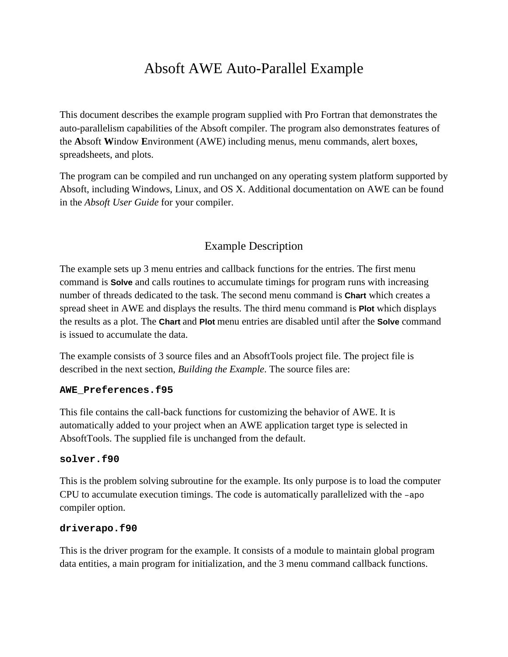# Absoft AWE Auto-Parallel Example

This document describes the example program supplied with Pro Fortran that demonstrates the auto-parallelism capabilities of the Absoft compiler. The program also demonstrates features of the **A**bsoft **W**indow **E**nvironment (AWE) including menus, menu commands, alert boxes, spreadsheets, and plots.

The program can be compiled and run unchanged on any operating system platform supported by Absoft, including Windows, Linux, and OS X. Additional documentation on AWE can be found in the *Absoft User Guide* for your compiler.

# Example Description

The example sets up 3 menu entries and callback functions for the entries. The first menu command is **Solve** and calls routines to accumulate timings for program runs with increasing number of threads dedicated to the task. The second menu command is **Chart** which creates a spread sheet in AWE and displays the results. The third menu command is **Plot** which displays the results as a plot. The **Chart** and **Plot** menu entries are disabled until after the **Solve** command is issued to accumulate the data.

The example consists of 3 source files and an AbsoftTools project file. The project file is described in the next section, *Building the Example*. The source files are:

#### **AWE\_Preferences.f95**

This file contains the call-back functions for customizing the behavior of AWE. It is automatically added to your project when an AWE application target type is selected in AbsoftTools. The supplied file is unchanged from the default.

#### **solver.f90**

This is the problem solving subroutine for the example. Its only purpose is to load the computer CPU to accumulate execution timings. The code is automatically parallelized with the  $-\text{apo}$ compiler option.

### **driverapo.f90**

This is the driver program for the example. It consists of a module to maintain global program data entities, a main program for initialization, and the 3 menu command callback functions.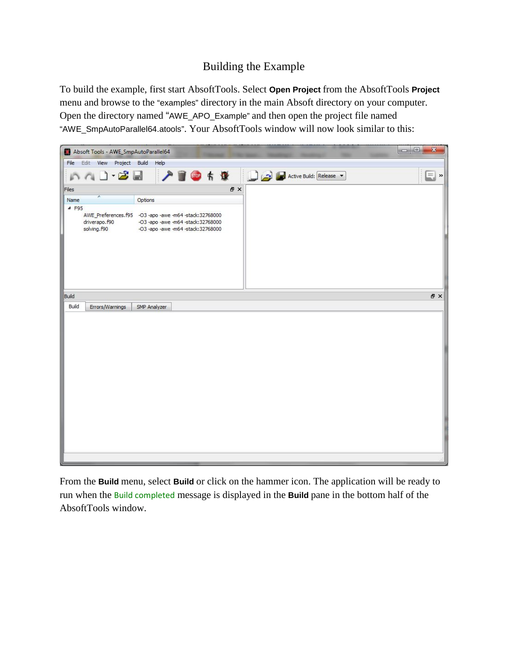## Building the Example

To build the example, first start AbsoftTools. Select **Open Project** from the AbsoftTools **Project** menu and browse to the "examples" directory in the main Absoft directory on your computer. Open the directory named "AWE\_APO\_Example" and then open the project file named "AWE\_SmpAutoParallel64.atools". Your AbsoftTools window will now look similar to this:



From the **Build** menu, select **Build** or click on the hammer icon. The application will be ready to run when the Build completed message is displayed in the **Build** pane in the bottom half of the AbsoftTools window.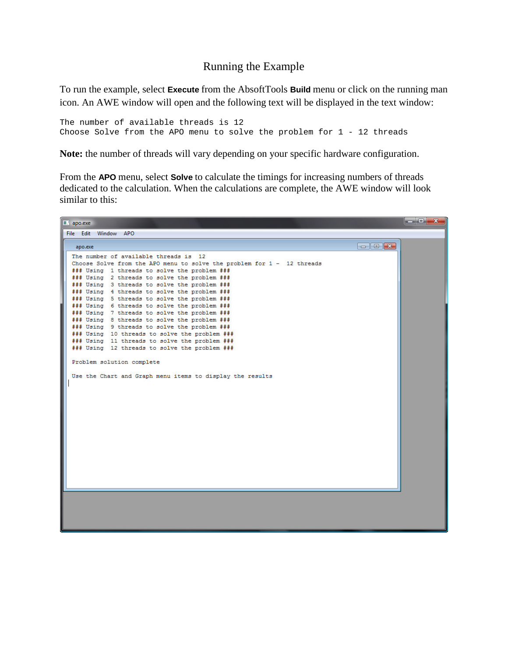## Running the Example

To run the example, select **Execute** from the AbsoftTools **Build** menu or click on the running man icon. An AWE window will open and the following text will be displayed in the text window:

The number of available threads is 12 Choose Solve from the APO menu to solve the problem for 1 - 12 threads

**Note:** the number of threads will vary depending on your specific hardware configuration.

From the **APO** menu, select **Solve** to calculate the timings for increasing numbers of threads dedicated to the calculation. When the calculations are complete, the AWE window will look similar to this:

| apo.exe                                                                                                                                                                      |  |
|------------------------------------------------------------------------------------------------------------------------------------------------------------------------------|--|
| File Edit Window APO                                                                                                                                                         |  |
| $\begin{array}{ c c c c c }\hline \multicolumn{1}{ c }{\mathbf{C}} & \multicolumn{1}{ c }{\mathbf{X}}\hline \end{array}$<br>apo.exe<br>The number of available threads is 12 |  |
| Choose Solve from the APO menu to solve the problem for 1 - 12 threads<br>### Using 1 threads to solve the problem ###                                                       |  |
| ### Using 2 threads to solve the problem ###<br>### Using 3 threads to solve the problem ###                                                                                 |  |
| ### Using 4 threads to solve the problem ###<br>### Using 5 threads to solve the problem ###                                                                                 |  |
| ### Using 6 threads to solve the problem ###<br>### Using 7 threads to solve the problem ###                                                                                 |  |
| ### Using 8 threads to solve the problem ###<br>### Using 9 threads to solve the problem ###                                                                                 |  |
| ### Using 10 threads to solve the problem ###<br>### Using 11 threads to solve the problem ###<br>### Using 12 threads to solve the problem ###                              |  |
| Problem solution complete                                                                                                                                                    |  |
| Use the Chart and Graph menu items to display the results                                                                                                                    |  |
|                                                                                                                                                                              |  |
|                                                                                                                                                                              |  |
|                                                                                                                                                                              |  |
|                                                                                                                                                                              |  |
|                                                                                                                                                                              |  |
|                                                                                                                                                                              |  |
|                                                                                                                                                                              |  |
|                                                                                                                                                                              |  |
|                                                                                                                                                                              |  |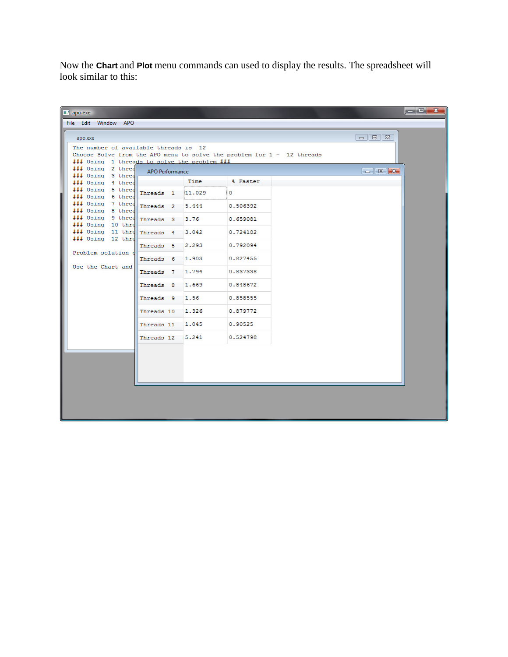Now the **Chart** and **Plot** menu commands can used to display the results. The spreadsheet will look similar to this:

| $\blacksquare$ apo.exe                                                                                                                                                                                                                                                                  |                  |        |          |                                                                                                                                                                                                                                                                                                                                                                                                                                                            |  |
|-----------------------------------------------------------------------------------------------------------------------------------------------------------------------------------------------------------------------------------------------------------------------------------------|------------------|--------|----------|------------------------------------------------------------------------------------------------------------------------------------------------------------------------------------------------------------------------------------------------------------------------------------------------------------------------------------------------------------------------------------------------------------------------------------------------------------|--|
| File Edit Window APO                                                                                                                                                                                                                                                                    |                  |        |          |                                                                                                                                                                                                                                                                                                                                                                                                                                                            |  |
| apo.exe<br>The number of available threads is 12<br>Choose Solve from the APO menu to solve the problem for 1 - 12 threads                                                                                                                                                              |                  |        |          | $\Box$ e   23                                                                                                                                                                                                                                                                                                                                                                                                                                              |  |
| ### Using 1 threads to solve the problem ###                                                                                                                                                                                                                                            |                  |        |          |                                                                                                                                                                                                                                                                                                                                                                                                                                                            |  |
| ### Using 2 threa<br>### Using 3 threa                                                                                                                                                                                                                                                  | APO Performance  |        |          | $\begin{array}{ c c c c }\hline \multicolumn{1}{ c }{\textbf{}} & \multicolumn{1}{ c }{\textbf{}} & \multicolumn{1}{ c }{\textbf{}} \\ \hline \multicolumn{1}{ c }{\textbf{}} & \multicolumn{1}{ c }{\textbf{}} & \multicolumn{1}{ c }{\textbf{}} & \multicolumn{1}{ c }{\textbf{}} & \multicolumn{1}{ c }{\textbf{}} \\ \hline \multicolumn{1}{ c }{\textbf{}} & \multicolumn{1}{ c }{\textbf{}} & \multicolumn{1}{ c }{\textbf{}} & \multicolumn{1}{ c $ |  |
| ### Using 4 threa<br>### Using 5 three Threads 1<br>### Using 6 threa<br>### Using 7 three Threads 2<br>### Using 8 threa<br>### Using 9 threa Threads 3 3.76<br>### Using 10 thre<br>### Using 11 thre Threads 4 3.042<br>### Using 12 thre<br>Problem solution o<br>Use the Chart and |                  | Time   | % Faster |                                                                                                                                                                                                                                                                                                                                                                                                                                                            |  |
|                                                                                                                                                                                                                                                                                         |                  | 11.029 | $\circ$  |                                                                                                                                                                                                                                                                                                                                                                                                                                                            |  |
|                                                                                                                                                                                                                                                                                         |                  | 5.444  | 0.506392 |                                                                                                                                                                                                                                                                                                                                                                                                                                                            |  |
|                                                                                                                                                                                                                                                                                         |                  |        | 0.659081 |                                                                                                                                                                                                                                                                                                                                                                                                                                                            |  |
|                                                                                                                                                                                                                                                                                         |                  |        | 0.724182 |                                                                                                                                                                                                                                                                                                                                                                                                                                                            |  |
|                                                                                                                                                                                                                                                                                         | Threads 5 2.293  |        | 0.792094 |                                                                                                                                                                                                                                                                                                                                                                                                                                                            |  |
|                                                                                                                                                                                                                                                                                         | Threads 6 1.903  |        | 0.827455 |                                                                                                                                                                                                                                                                                                                                                                                                                                                            |  |
|                                                                                                                                                                                                                                                                                         | Threads 7 1.794  |        | 0.837338 |                                                                                                                                                                                                                                                                                                                                                                                                                                                            |  |
|                                                                                                                                                                                                                                                                                         | Threads 8 1.669  |        | 0.848672 |                                                                                                                                                                                                                                                                                                                                                                                                                                                            |  |
|                                                                                                                                                                                                                                                                                         | Threads 9 1.56   |        | 0.858555 |                                                                                                                                                                                                                                                                                                                                                                                                                                                            |  |
|                                                                                                                                                                                                                                                                                         | Threads 10 1.326 |        | 0.879772 |                                                                                                                                                                                                                                                                                                                                                                                                                                                            |  |
|                                                                                                                                                                                                                                                                                         | Threads 11       | 1.045  | 0.90525  |                                                                                                                                                                                                                                                                                                                                                                                                                                                            |  |
|                                                                                                                                                                                                                                                                                         | Threads 12 5.241 |        | 0.524798 |                                                                                                                                                                                                                                                                                                                                                                                                                                                            |  |
|                                                                                                                                                                                                                                                                                         |                  |        |          |                                                                                                                                                                                                                                                                                                                                                                                                                                                            |  |
|                                                                                                                                                                                                                                                                                         |                  |        |          |                                                                                                                                                                                                                                                                                                                                                                                                                                                            |  |
|                                                                                                                                                                                                                                                                                         |                  |        |          |                                                                                                                                                                                                                                                                                                                                                                                                                                                            |  |
|                                                                                                                                                                                                                                                                                         |                  |        |          |                                                                                                                                                                                                                                                                                                                                                                                                                                                            |  |
|                                                                                                                                                                                                                                                                                         |                  |        |          |                                                                                                                                                                                                                                                                                                                                                                                                                                                            |  |
|                                                                                                                                                                                                                                                                                         |                  |        |          |                                                                                                                                                                                                                                                                                                                                                                                                                                                            |  |